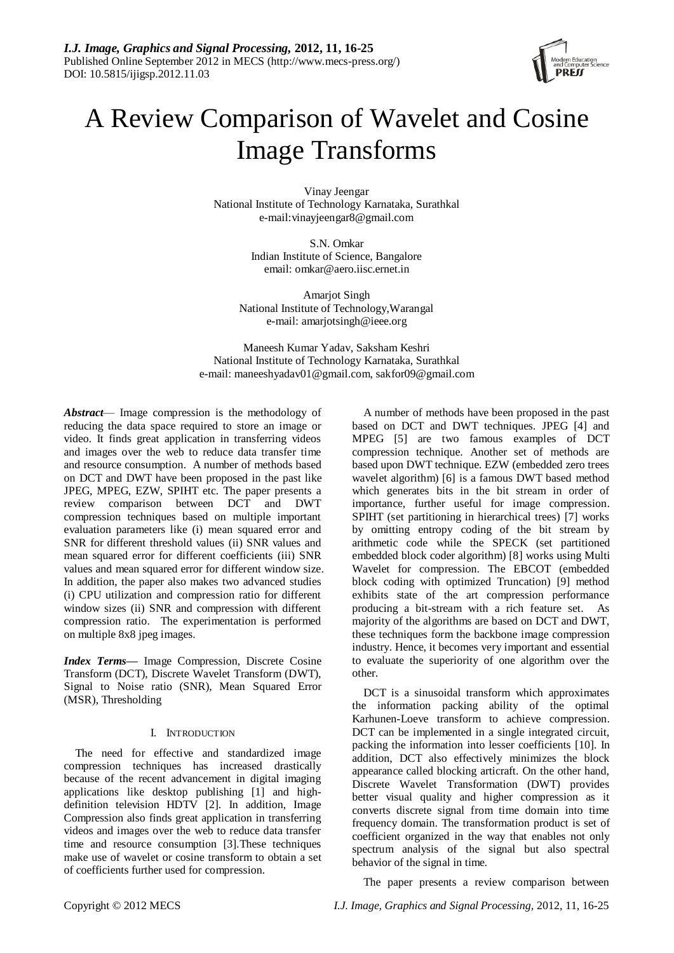

# A Review Comparison of Wavelet and Cosine Image Transforms

Vinay Jeengar National Institute of Technology Karnataka, Surathkal e-mail:vinayjeengar8@gmail.com

> S.N. Omkar Indian Institute of Science, Bangalore email: omkar@aero.iisc.ernet.in

Amarjot Singh National Institute of Technology,Warangal e-mail: amarjotsingh@ieee.org

Maneesh Kumar Yadav, Saksham Keshri National Institute of Technology Karnataka, Surathkal e-mail: maneeshyadav01@gmail.com, sakfor09@gmail.com

*Abstract*— Image compression is the methodology of reducing the data space required to store an image or video. It finds great application in transferring videos and images over the web to reduce data transfer time and resource consumption. A number of methods based on DCT and DWT have been proposed in the past like JPEG, MPEG, EZW, SPIHT etc. The paper presents a review comparison between DCT and DWT compression techniques based on multiple important evaluation parameters like (i) mean squared error and SNR for different threshold values (ii) SNR values and mean squared error for different coefficients (iii) SNR values and mean squared error for different window size. In addition, the paper also makes two advanced studies (i) CPU utilization and compression ratio for different window sizes (ii) SNR and compression with different compression ratio. The experimentation is performed on multiple 8x8 jpeg images.

*Index Terms—* Image Compression, Discrete Cosine Transform (DCT), Discrete Wavelet Transform (DWT), Signal to Noise ratio (SNR), Mean Squared Error (MSR), Thresholding

# I. INTRODUCTION

The need for effective and standardized image compression techniques has increased drastically because of the recent advancement in digital imaging applications like desktop publishing [1] and highdefinition television HDTV [2]. In addition, Image Compression also finds great application in transferring videos and images over the web to reduce data transfer time and resource consumption [3].These techniques make use of wavelet or cosine transform to obtain a set of coefficients further used for compression.

A number of methods have been proposed in the past based on DCT and DWT techniques. JPEG [4] and MPEG [5] are two famous examples of DCT compression technique. Another set of methods are based upon DWT technique. EZW (embedded zero trees wavelet algorithm) [6] is a famous DWT based method which generates bits in the bit stream in order of importance, further useful for image compression. SPIHT (set partitioning in hierarchical trees) [7] works by omitting entropy coding of the bit stream by arithmetic code while the SPECK (set partitioned embedded block coder algorithm) [8] works using Multi Wavelet for compression. The EBCOT (embedded block coding with optimized Truncation) [9] method exhibits state of the art compression performance producing a bit-stream with a rich feature set. As majority of the algorithms are based on DCT and DWT, these techniques form the backbone image compression industry. Hence, it becomes very important and essential to evaluate the superiority of one algorithm over the other.

DCT is a sinusoidal transform which approximates the information packing ability of the optimal Karhunen-Loeve transform to achieve compression. DCT can be implemented in a single integrated circuit, packing the information into lesser coefficients [10]. In addition, DCT also effectively minimizes the block appearance called blocking articraft. On the other hand, Discrete Wavelet Transformation (DWT) provides better visual quality and higher compression as it converts discrete signal from time domain into time frequency domain. The transformation product is set of coefficient organized in the way that enables not only spectrum analysis of the signal but also spectral behavior of the signal in time.

The paper presents a review comparison between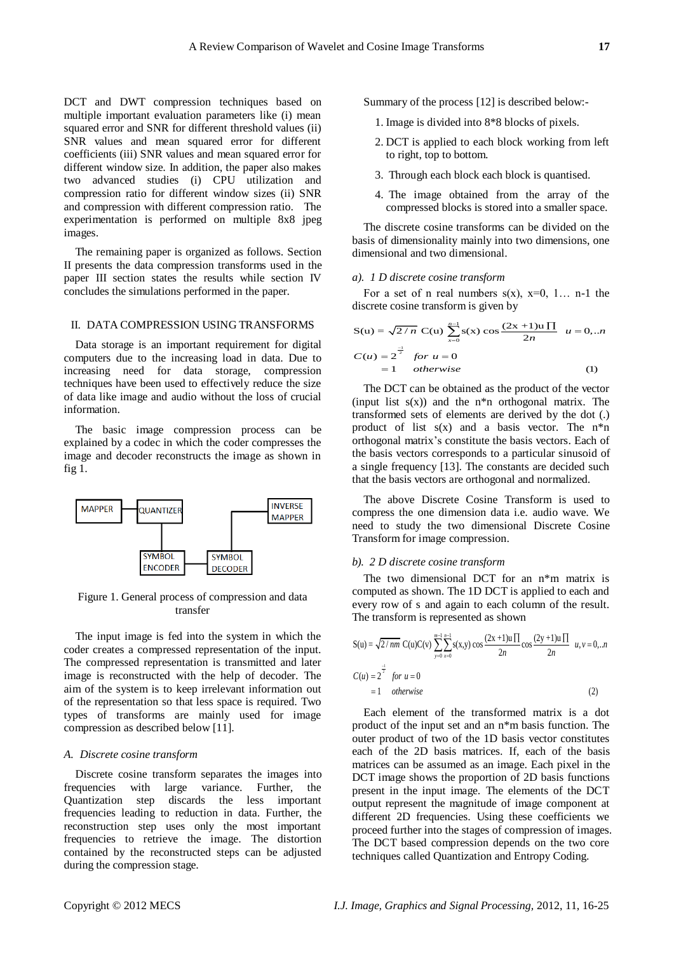DCT and DWT compression techniques based on multiple important evaluation parameters like (i) mean squared error and SNR for different threshold values (ii) SNR values and mean squared error for different coefficients (iii) SNR values and mean squared error for different window size. In addition, the paper also makes two advanced studies (i) CPU utilization and compression ratio for different window sizes (ii) SNR and compression with different compression ratio. The experimentation is performed on multiple 8x8 jpeg images.

The remaining paper is organized as follows. Section II presents the data compression transforms used in the paper III section states the results while section IV concludes the simulations performed in the paper.

### II. DATA COMPRESSION USING TRANSFORMS

Data storage is an important requirement for digital computers due to the increasing load in data. Due to increasing need for data storage, compression techniques have been used to effectively reduce the size of data like image and audio without the loss of crucial information.

The basic image compression process can be explained by a codec in which the coder compresses the image and decoder reconstructs the image as shown in fig 1.



Figure 1. General process of compression and data transfer

The input image is fed into the system in which the coder creates a compressed representation of the input. The compressed representation is transmitted and later image is reconstructed with the help of decoder. The aim of the system is to keep irrelevant information out of the representation so that less space is required. Two types of transforms are mainly used for image compression as described below [11].

### *A. Discrete cosine transform*

Discrete cosine transform separates the images into frequencies with large variance. Further, the Quantization step discards the less important frequencies leading to reduction in data. Further, the reconstruction step uses only the most important frequencies to retrieve the image. The distortion contained by the reconstructed steps can be adjusted during the compression stage.

Summary of the process [12] is described below:-

- 1. Image is divided into 8\*8 blocks of pixels.
- 2. DCT is applied to each block working from left to right, top to bottom.
- 3. Through each block each block is quantised.
- 4. The image obtained from the array of the compressed blocks is stored into a smaller space.

The discrete cosine transforms can be divided on the basis of dimensionality mainly into two dimensions, one dimensional and two dimensional.

# *a). 1 D discrete cosine transform*

For a set of n real numbers  $s(x)$ ,  $x=0$ , 1... n-1 the

discrete cosine transform is given by  
\n
$$
S(u) = \sqrt{2/n} C(u) \sum_{x=0}^{n-1} s(x) \cos \frac{(2x+1)u \prod}{2n} u = 0, ...n
$$
\n
$$
C(u) = 2^{\frac{-1}{2}} \text{ for } u = 0
$$
\n
$$
= 1 \text{ otherwise}
$$
\n(1)

The DCT can be obtained as the product of the vector (input list  $s(x)$ ) and the n<sup>\*n</sup> orthogonal matrix. The transformed sets of elements are derived by the dot (.) product of list  $s(x)$  and a basis vector. The  $n^*n$ orthogonal matrix's constitute the basis vectors. Each of the basis vectors corresponds to a particular sinusoid of a single frequency [13]. The constants are decided such that the basis vectors are orthogonal and normalized.

The above Discrete Cosine Transform is used to compress the one dimension data i.e. audio wave. We need to study the two dimensional Discrete Cosine Transform for image compression.

#### *b). 2 D discrete cosine transform*

The two dimensional DCT for an n\*m matrix is computed as shown. The 1D DCT is applied to each and The transform is represented as shown<br>  $\sqrt{a}$   $\sqrt{a}$   $\sqrt{a}$   $\sqrt{a}$   $\sqrt{a}$   $\sqrt{a}$   $\sqrt{a}$   $(2x+1)$ u $\Box$ 

every row of s and again to each column of the result.  
The transform is represented as shown  
\n
$$
S(u) = \sqrt{2/mn} C(u)C(v) \sum_{y=0}^{m-1} \sum_{x=0}^{n-1} s(x,y) \cos \frac{(2x+1)u \prod_{x=0}^{\infty} \cos \frac{(2y+1)u \prod_{x=0}^{m}}{2n} u, v = 0,...n
$$
\n
$$
C(u) = 2^{\frac{-1}{2}} \quad \text{for } u = 0
$$
\n
$$
= 1 \quad \text{otherwise}
$$
\n(2)

Each element of the transformed matrix is a dot product of the input set and an n\*m basis function. The outer product of two of the 1D basis vector constitutes each of the 2D basis matrices. If, each of the basis matrices can be assumed as an image. Each pixel in the DCT image shows the proportion of 2D basis functions present in the input image. The elements of the DCT output represent the magnitude of image component at different 2D frequencies. Using these coefficients we proceed further into the stages of compression of images. The DCT based compression depends on the two core techniques called Quantization and Entropy Coding.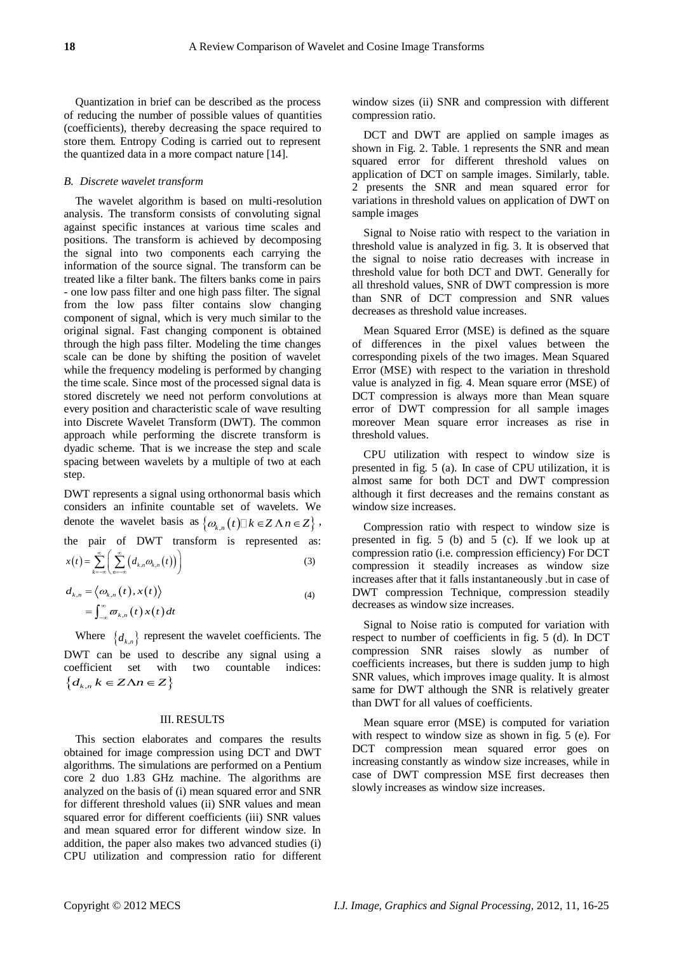Quantization in brief can be described as the process of reducing the number of possible values of quantities (coefficients), thereby decreasing the space required to store them. Entropy Coding is carried out to represent the quantized data in a more compact nature [14].

## *B. Discrete wavelet transform*

The wavelet algorithm is based on multi-resolution analysis. The transform consists of convoluting signal against specific instances at various time scales and positions. The transform is achieved by decomposing the signal into two components each carrying the information of the source signal. The transform can be treated like a filter bank. The filters banks come in pairs - one low pass filter and one high pass filter. The signal from the low pass filter contains slow changing component of signal, which is very much similar to the original signal. Fast changing component is obtained through the high pass filter. Modeling the time changes scale can be done by shifting the position of wavelet while the frequency modeling is performed by changing the time scale. Since most of the processed signal data is stored discretely we need not perform convolutions at every position and characteristic scale of wave resulting into Discrete Wavelet Transform (DWT). The common approach while performing the discrete transform is dyadic scheme. That is we increase the step and scale spacing between wavelets by a multiple of two at each step.

DWT represents a signal using orthonormal basis which considers an infinite countable set of wavelets. We denote the wavelet basis as  $\{\omega_{k,n}(t)\square k \in Z \land n \in Z\}$ , the pair of DWT transform is represented as:<br>  $x(t) = \sum_{n=0}^{\infty} \left( \sum_{k=0}^{\infty} (d_{k,n} \omega_{k,n}(t)) \right)$  (3) denote the wavelet basis as  $\{\omega_{k,n}(t) \square k \in \mathbb{Z} \land n \in \mathbb{Z}\}$ <br>
the pair of DWT transform is represented as<br>  $x(t) = \sum_{k=-\infty}^{\infty} \left( \sum_{n=-\infty}^{\infty} (d_{k,n} \omega_{k,n}(t)) \right)$  (3)

$$
d_{k,n} = \langle \omega_{k,n}(t), x(t) \rangle
$$
  
= 
$$
\int_{-\infty}^{\infty} \overline{\omega}_{k,n}(t) x(t) dt
$$
 (4)

Where  $\{d_{k,n}\}$  represent the wavelet coefficients. The DWT can be used to describe any signal using a coefficient set with two countable indices:  ${d_{k,n} k \in Z \Lambda n \in Z}$ 

#### III. RESULTS

This section elaborates and compares the results obtained for image compression using DCT and DWT algorithms. The simulations are performed on a Pentium core 2 duo 1.83 GHz machine. The algorithms are analyzed on the basis of (i) mean squared error and SNR for different threshold values (ii) SNR values and mean squared error for different coefficients (iii) SNR values and mean squared error for different window size. In addition, the paper also makes two advanced studies (i) CPU utilization and compression ratio for different window sizes (ii) SNR and compression with different compression ratio.

DCT and DWT are applied on sample images as shown in Fig. 2. Table. 1 represents the SNR and mean squared error for different threshold values on application of DCT on sample images. Similarly, table. 2 presents the SNR and mean squared error for variations in threshold values on application of DWT on sample images

Signal to Noise ratio with respect to the variation in threshold value is analyzed in fig. 3. It is observed that the signal to noise ratio decreases with increase in threshold value for both DCT and DWT. Generally for all threshold values, SNR of DWT compression is more than SNR of DCT compression and SNR values decreases as threshold value increases.

Mean Squared Error (MSE) is defined as the square of differences in the pixel values between the corresponding pixels of the two images. Mean Squared Error (MSE) with respect to the variation in threshold value is analyzed in fig. 4. Mean square error (MSE) of DCT compression is always more than Mean square error of DWT compression for all sample images moreover Mean square error increases as rise in threshold values.

CPU utilization with respect to window size is presented in fig. 5 (a). In case of CPU utilization, it is almost same for both DCT and DWT compression although it first decreases and the remains constant as window size increases.

Compression ratio with respect to window size is presented in fig. 5 (b) and 5 (c). If we look up at compression ratio (i.e. compression efficiency) For DCT compression it steadily increases as window size increases after that it falls instantaneously .but in case of DWT compression Technique, compression steadily decreases as window size increases.

Signal to Noise ratio is computed for variation with respect to number of coefficients in fig. 5 (d). In DCT compression SNR raises slowly as number of coefficients increases, but there is sudden jump to high SNR values, which improves image quality. It is almost same for DWT although the SNR is relatively greater than DWT for all values of coefficients.

Mean square error (MSE) is computed for variation with respect to window size as shown in fig. 5 (e). For DCT compression mean squared error goes on increasing constantly as window size increases, while in case of DWT compression MSE first decreases then slowly increases as window size increases.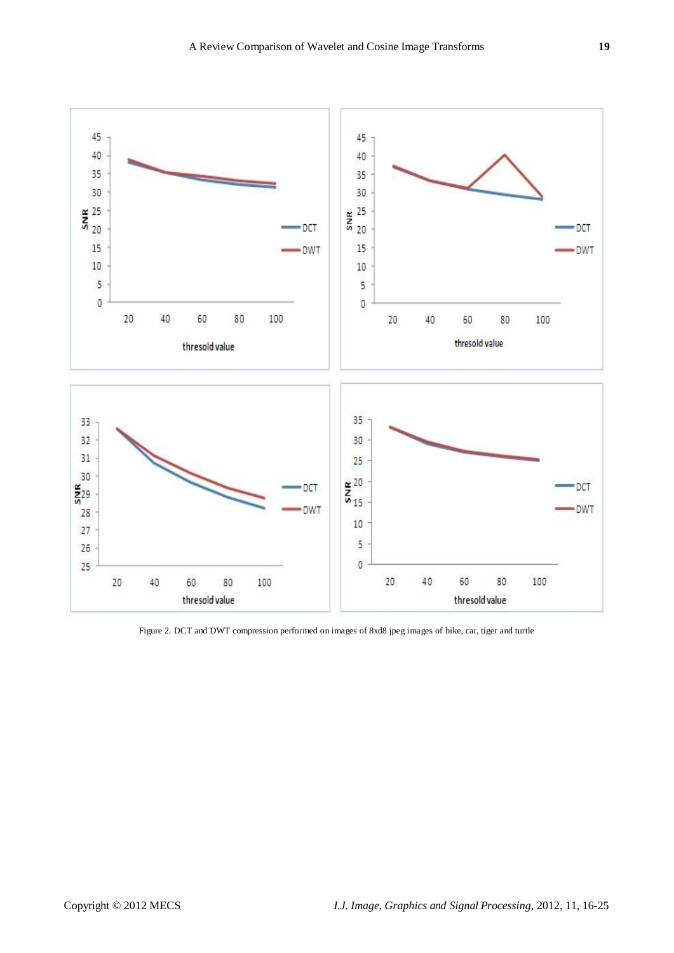

Figure 2. DCT and DWT compression performed on images of 8xd8 jpeg images of bike, car, tiger and turtle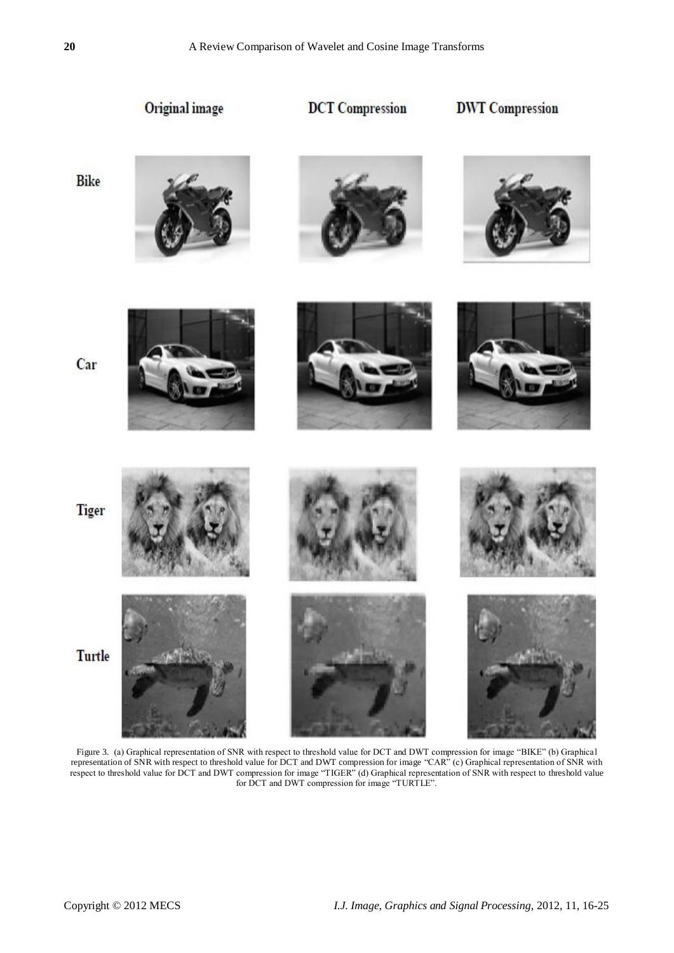Original image **DCT** Compression **DWT** Compression **Bike** Car **Tiger** 

Turtle

Figure 3. (a) Graphical representation of SNR with respect to threshold value for DCT and DWT compression for image "BIKE" (b) Graphical representation of SNR with respect to threshold value for DCT and DWT compression for image "CAR" (c) Graphical representation of SNR with respect to threshold value for DCT and DWT compression for image "TIGER" (d) Graphical representation of SNR with respect to threshold value for DCT and DWT compression for image "TURTLE".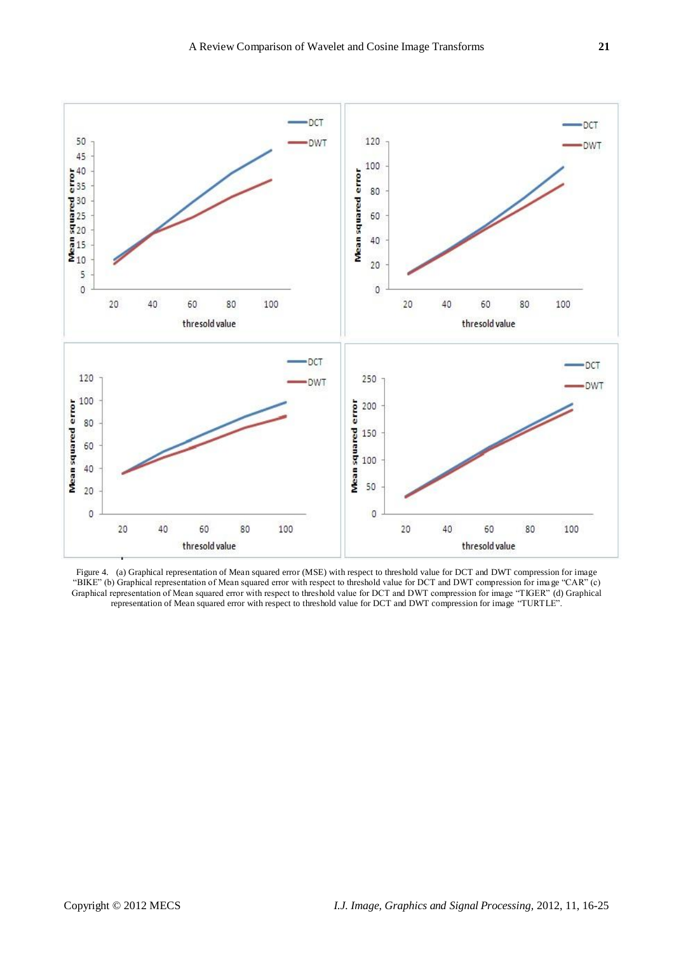

Figure 4. (a) Graphical representation of Mean squared error (MSE) with respect to threshold value for DCT and DWT compression for image "BIKE" (b) Graphical representation of Mean squared error with respect to threshold value for DCT and DWT compression for image "CAR" (c) Graphical representation of Mean squared error with respect to threshold value for DCT and DWT compression for image "TIGER" (d) Graphical representation of Mean squared error with respect to threshold value for DCT and DWT compression for image "TURTLE".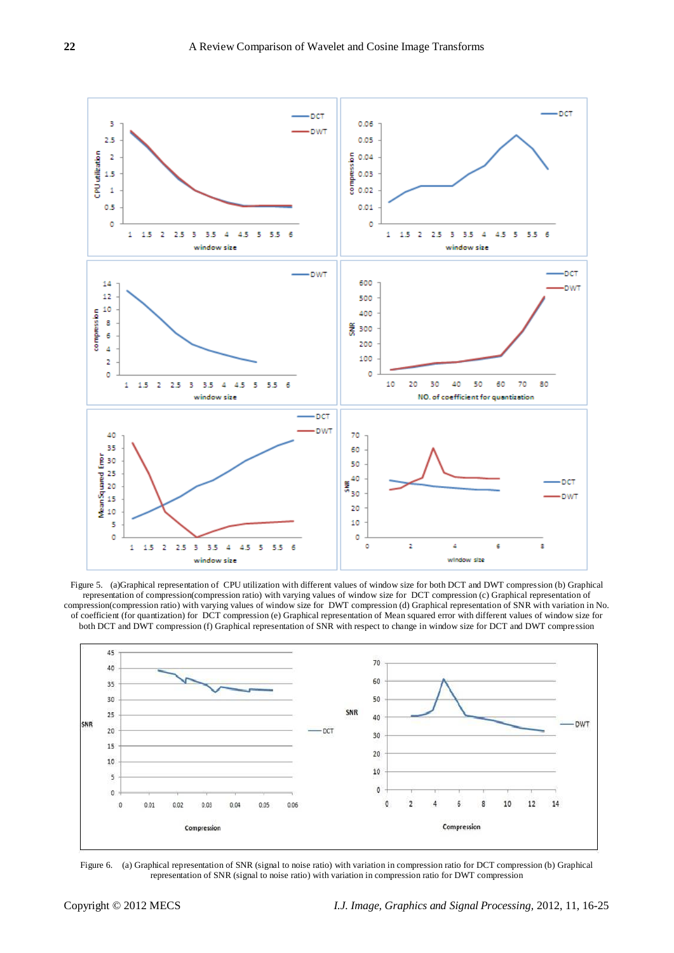

Figure 5. (a)Graphical representation of CPU utilization with different values of window size for both DCT and DWT compression (b) Graphical representation of compression(compression ratio) with varying values of window size for DCT compression (c) Graphical representation of compression(compression ratio) with varying values of window size for DWT compression (d) Graphical representation of SNR with variation in No. of coefficient (for quantization) for DCT compression (e) Graphical representation of Mean squared error with different values of window size for both DCT and DWT compression (f) Graphical representation of SNR with respect to change in window size for DCT and DWT compression



Figure 6. (a) Graphical representation of SNR (signal to noise ratio) with variation in compression ratio for DCT compression (b) Graphical representation of SNR (signal to noise ratio) with variation in compression ratio for DWT compression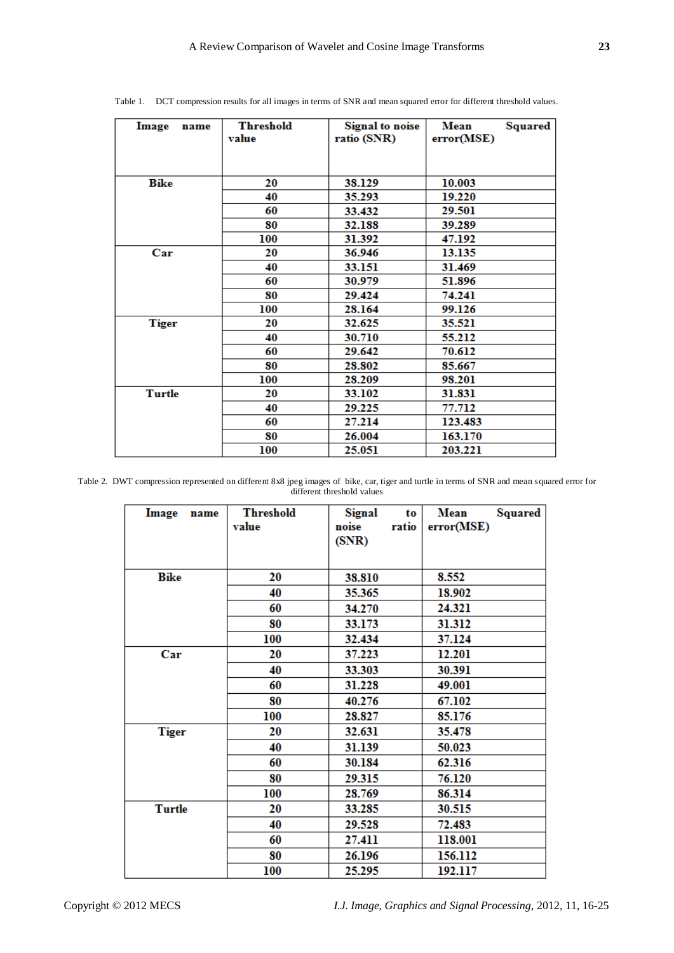| Image<br>name | <b>Threshold</b><br>value | <b>Signal</b> to noise<br>ratio (SNR) | Mean<br><b>Squared</b><br>error(MSE) |  |
|---------------|---------------------------|---------------------------------------|--------------------------------------|--|
| <b>Bike</b>   | 20                        | 38.129                                | 10.003                               |  |
|               | 40                        | 35.293                                | 19.220                               |  |
|               | 60                        | 33.432                                | 29.501                               |  |
|               | 80                        | 32.188                                | 39.289                               |  |
|               | 100                       | 31.392                                | 47.192                               |  |
| Car           | 20                        | 36.946                                | 13.135                               |  |
|               | 40                        | 33.151                                | 31.469                               |  |
|               | 60                        | 30.979                                | 51.896                               |  |
|               | 80                        | 29.424                                | 74.241                               |  |
|               | 100                       | 28.164                                | 99.126                               |  |
| <b>Tiger</b>  | 20                        | 32.625                                | 35.521                               |  |
|               | 40                        | 30.710                                | 55.212                               |  |
|               | 60                        | 29.642                                | 70.612                               |  |
|               | 80                        | 28.802                                | 85.667                               |  |
|               | 100                       | 28.209                                | 98.201                               |  |
| <b>Turtle</b> | 20                        | 33.102                                | 31.831                               |  |
|               | 40                        | 29.225                                | 77.712                               |  |
|               | 60                        | 27.214                                | 123.483                              |  |
|               | 80                        | 26.004                                | 163.170                              |  |
|               | 100                       | 25.051                                | 203.221                              |  |

Table 1. DCT compression results for all images in terms of SNR and mean squared error for different threshold values.

Table 2. DWT compression represented on different 8x8 jpeg images of bike, car, tiger and turtle in terms of SNR and mean squared error for different threshold values

| Image<br>name | <b>Threshold</b><br>value | Signal<br>to<br>noise<br>ratio<br>(SNR) | <b>Squared</b><br>Mean<br>error(MSE) |
|---------------|---------------------------|-----------------------------------------|--------------------------------------|
|               |                           |                                         |                                      |
| Bike          | 20                        | 38.810                                  | 8.552                                |
|               | 40                        | 35.365                                  | 18.902                               |
|               | 60                        | 34.270                                  | 24.321                               |
|               | 80                        | 33.173                                  | 31.312                               |
|               | 100                       | 32.434                                  | 37.124                               |
| Car           | 20                        | 37.223                                  | 12.201                               |
|               | 40                        | 33.303                                  | 30.391                               |
|               | 60                        | 31.228                                  | 49.001                               |
|               | 80                        | 40.276                                  | 67.102                               |
|               | 100                       | 28.827                                  | 85.176                               |
| <b>Tiger</b>  | 20                        | 32.631                                  | 35.478                               |
|               | 40                        | 31.139                                  | 50.023                               |
|               | 60                        | 30.184                                  | 62.316                               |
|               | 80                        | 29.315                                  | 76.120                               |
|               | 100                       | 28.769                                  | 86.314                               |
| <b>Turtle</b> | 20                        | 33.285                                  | 30.515                               |
|               | 40                        | 29.528                                  | 72.483                               |
|               | 60                        | 27.411                                  | 118.001                              |
|               | 80                        | 26.196                                  | 156.112                              |
|               | 100                       | 25.295                                  | 192.117                              |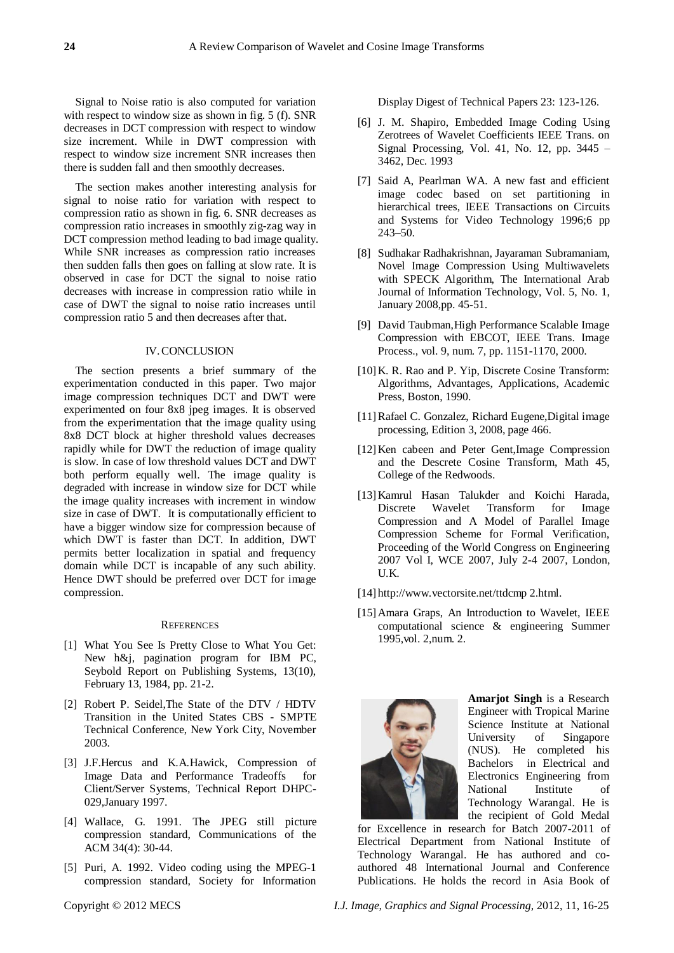Signal to Noise ratio is also computed for variation with respect to window size as shown in fig. 5 (f). SNR decreases in DCT compression with respect to window size increment. While in DWT compression with respect to window size increment SNR increases then there is sudden fall and then smoothly decreases.

The section makes another interesting analysis for signal to noise ratio for variation with respect to compression ratio as shown in fig. 6. SNR decreases as compression ratio increases in smoothly zig-zag way in DCT compression method leading to bad image quality. While SNR increases as compression ratio increases then sudden falls then goes on falling at slow rate. It is observed in case for DCT the signal to noise ratio decreases with increase in compression ratio while in case of DWT the signal to noise ratio increases until compression ratio 5 and then decreases after that.

## IV.CONCLUSION

The section presents a brief summary of the experimentation conducted in this paper. Two major image compression techniques DCT and DWT were experimented on four 8x8 jpeg images. It is observed from the experimentation that the image quality using 8x8 DCT block at higher threshold values decreases rapidly while for DWT the reduction of image quality is slow. In case of low threshold values DCT and DWT both perform equally well. The image quality is degraded with increase in window size for DCT while the image quality increases with increment in window size in case of DWT. It is computationally efficient to have a bigger window size for compression because of which DWT is faster than DCT. In addition, DWT permits better localization in spatial and frequency domain while DCT is incapable of any such ability. Hence DWT should be preferred over DCT for image compression.

#### **REFERENCES**

- [1] What You See Is Pretty Close to What You Get: New h&j, pagination program for IBM PC, Seybold Report on Publishing Systems, 13(10), February 13, 1984, pp. 21-2.
- [2] Robert P. Seidel,The State of the DTV / HDTV Transition in the United States CBS - SMPTE Technical Conference, New York City, November 2003.
- [3] J.F.Hercus and K.A.Hawick, Compression of Image Data and Performance Tradeoffs for Client/Server Systems, Technical Report DHPC-029,January 1997.
- [4] Wallace, G. 1991. The JPEG still picture compression standard, Communications of the ACM 34(4): 30-44.
- [5] Puri, A. 1992. Video coding using the MPEG-1 compression standard, Society for Information

Display Digest of Technical Papers 23: 123-126.

- [6] J. M. Shapiro, Embedded Image Coding Using Zerotrees of Wavelet Coefficients IEEE Trans. on Signal Processing, Vol. 41, No. 12, pp. 3445 – 3462, Dec. 1993
- [7] Said A, Pearlman WA. A new fast and efficient image codec based on set partitioning in hierarchical trees, IEEE Transactions on Circuits and Systems for Video Technology 1996;6 pp 243–50.
- [8] Sudhakar Radhakrishnan, Jayaraman Subramaniam, Novel Image Compression Using Multiwavelets with SPECK Algorithm, The International Arab Journal of Information Technology, Vol. 5, No. 1, January 2008,pp. 45-51.
- [9] David Taubman,High Performance Scalable Image Compression with EBCOT, IEEE Trans. Image Process., vol. 9, num. 7, pp. 1151-1170, 2000.
- [10] K. R. Rao and P. Yip, Discrete Cosine Transform: Algorithms, Advantages, Applications, Academic Press, Boston, 1990.
- [11]Rafael C. Gonzalez, Richard Eugene,Digital image processing, Edition 3, 2008, page 466.
- [12]Ken cabeen and Peter Gent,Image Compression and the Descrete Cosine Transform, Math 45, College of the Redwoods.
- [13]Kamrul Hasan Talukder and Koichi Harada, Discrete Wavelet Transform for Image Compression and A Model of Parallel Image Compression Scheme for Formal Verification, Proceeding of the World Congress on Engineering 2007 Vol I, WCE 2007, July 2-4 2007, London, U.K.
- [14] http://www.vectorsite.net/ttdcmp 2.html.
- [15]Amara Graps, An Introduction to Wavelet, IEEE computational science & engineering Summer 1995,vol. 2,num. 2.



**Amarjot Singh** is a Research Engineer with Tropical Marine Science Institute at National<br>University of Singapore University of Singapore (NUS). He completed his Bachelors in Electrical and Electronics Engineering from National Institute of Technology Warangal. He is the recipient of Gold Medal

for Excellence in research for Batch 2007-2011 of Electrical Department from National Institute of Technology Warangal. He has authored and coauthored 48 International Journal and Conference Publications. He holds the record in Asia Book of